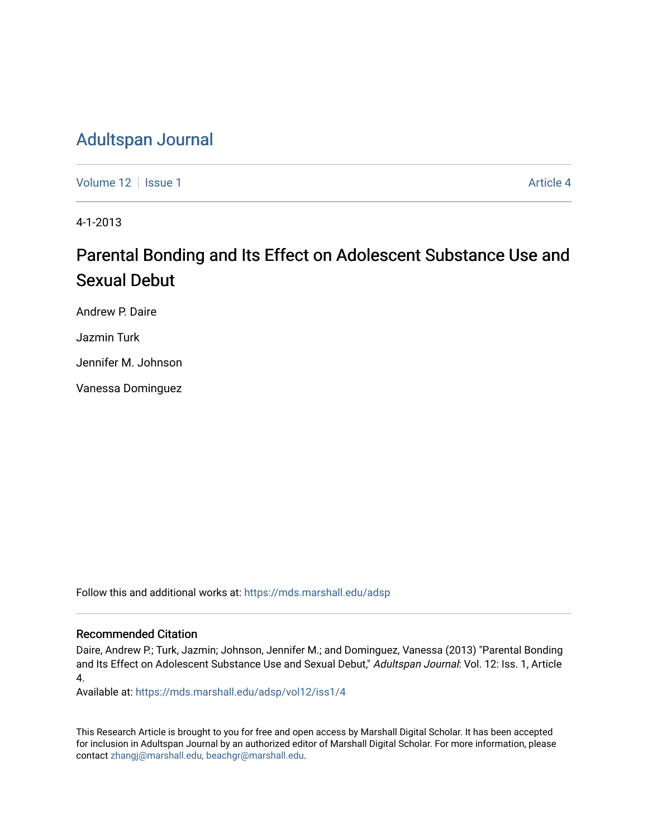## [Adultspan Journal](https://mds.marshall.edu/adsp)

[Volume 12](https://mds.marshall.edu/adsp/vol12) Setup 1 [Article 4](https://mds.marshall.edu/adsp/vol12/iss1/4) Article 4

4-1-2013

## Parental Bonding and Its Effect on Adolescent Substance Use and Sexual Debut

Andrew P. Daire

Jazmin Turk

Jennifer M. Johnson

Vanessa Dominguez

Follow this and additional works at: [https://mds.marshall.edu/adsp](https://mds.marshall.edu/adsp?utm_source=mds.marshall.edu%2Fadsp%2Fvol12%2Fiss1%2F4&utm_medium=PDF&utm_campaign=PDFCoverPages) 

## Recommended Citation

Daire, Andrew P.; Turk, Jazmin; Johnson, Jennifer M.; and Dominguez, Vanessa (2013) "Parental Bonding and Its Effect on Adolescent Substance Use and Sexual Debut," Adultspan Journal: Vol. 12: Iss. 1, Article 4.

Available at: [https://mds.marshall.edu/adsp/vol12/iss1/4](https://mds.marshall.edu/adsp/vol12/iss1/4?utm_source=mds.marshall.edu%2Fadsp%2Fvol12%2Fiss1%2F4&utm_medium=PDF&utm_campaign=PDFCoverPages) 

This Research Article is brought to you for free and open access by Marshall Digital Scholar. It has been accepted for inclusion in Adultspan Journal by an authorized editor of Marshall Digital Scholar. For more information, please contact [zhangj@marshall.edu, beachgr@marshall.edu](mailto:zhangj@marshall.edu,%20beachgr@marshall.edu).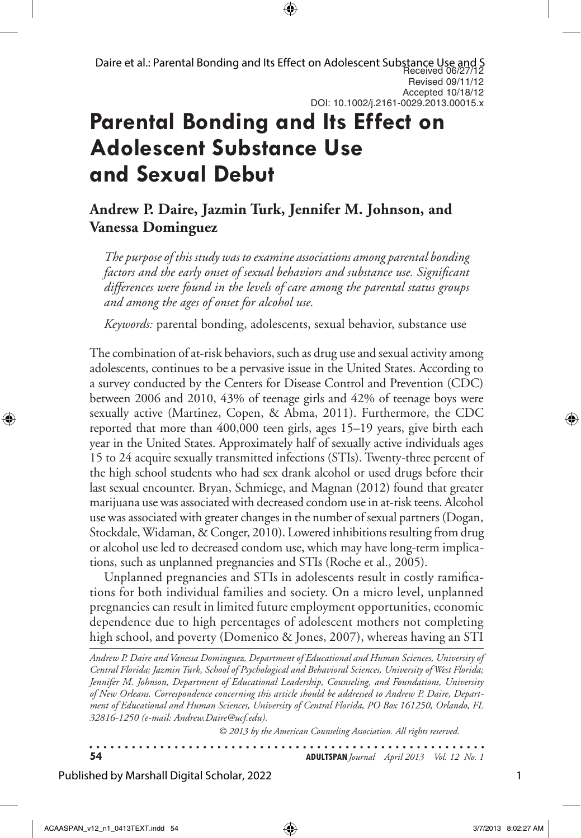# **Parental Bonding and Its Effect on Adolescent Substance Use and Sexual Debut**

## **Andrew P. Daire, Jazmin Turk, Jennifer M. Johnson, and Vanessa Dominguez**

*The purpose of this study was to examine associations among parental bonding factors and the early onset of sexual behaviors and substance use. Significant differences were found in the levels of care among the parental status groups and among the ages of onset for alcohol use.* 

*Keywords:* parental bonding, adolescents, sexual behavior, substance use

The combination of at-risk behaviors, such as drug use and sexual activity among adolescents, continues to be a pervasive issue in the United States. According to a survey conducted by the Centers for Disease Control and Prevention (CDC) between 2006 and 2010, 43% of teenage girls and 42% of teenage boys were sexually active (Martinez, Copen, & Abma, 2011). Furthermore, the CDC reported that more than 400,000 teen girls, ages 15–19 years, give birth each year in the United States. Approximately half of sexually active individuals ages 15 to 24 acquire sexually transmitted infections (STIs). Twenty-three percent of the high school students who had sex drank alcohol or used drugs before their last sexual encounter. Bryan, Schmiege, and Magnan (2012) found that greater marijuana use was associated with decreased condom use in at-risk teens. Alcohol use was associated with greater changes in the number of sexual partners (Dogan, Stockdale, Widaman, & Conger, 2010). Lowered inhibitions resulting from drug or alcohol use led to decreased condom use, which may have long-term implications, such as unplanned pregnancies and STIs (Roche et al., 2005).

Unplanned pregnancies and STIs in adolescents result in costly ramifications for both individual families and society. On a micro level, unplanned pregnancies can result in limited future employment opportunities, economic dependence due to high percentages of adolescent mothers not completing high school, and poverty (Domenico & Jones, 2007), whereas having an STI

*Andrew P. Daire and Vanessa Dominguez, Department of Educational and Human Sciences, University of Central Florida; Jazmin Turk, School of Psychological and Behavioral Sciences, University of West Florida; Jennifer M. Johnson, Department of Educational Leadership, Counseling, and Foundations, University of New Orleans. Correspondence concerning this article should be addressed to Andrew P. Daire, Department of Educational and Human Sciences, University of Central Florida, PO Box 161250, Orlando, FL 32816-1250 (e-mail: Andrew.Daire@ucf.edu).* 

*© 2013 by the American Counseling Association. All rights reserved.*

. . . . . . . . . . . . . . . . . . . . . . . . . . . . . . . . **54 ADULTSPAN***Journal April 2013 Vol. 12 No. 1*

Published by Marshall Digital Scholar, 2022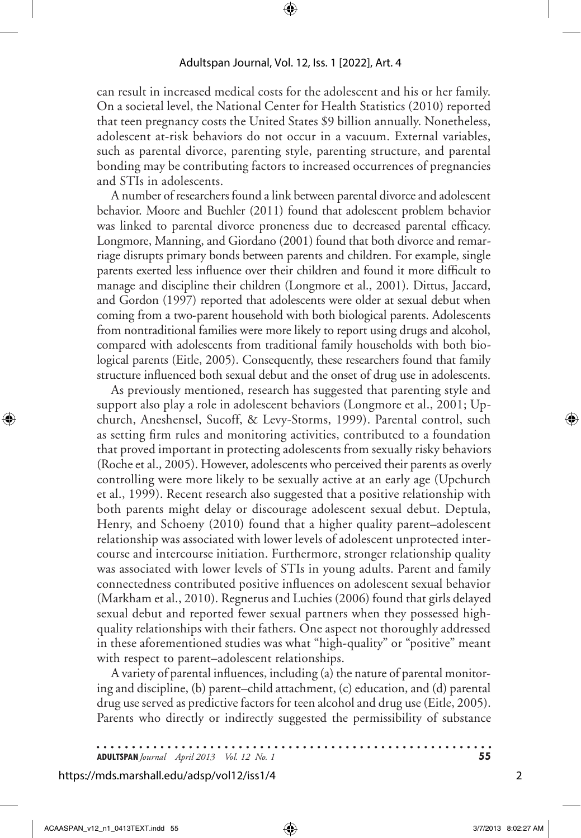can result in increased medical costs for the adolescent and his or her family. On a societal level, the National Center for Health Statistics (2010) reported that teen pregnancy costs the United States \$9 billion annually. Nonetheless, adolescent at-risk behaviors do not occur in a vacuum. External variables, such as parental divorce, parenting style, parenting structure, and parental bonding may be contributing factors to increased occurrences of pregnancies and STIs in adolescents.

A number of researchers found a link between parental divorce and adolescent behavior. Moore and Buehler (2011) found that adolescent problem behavior was linked to parental divorce proneness due to decreased parental efficacy. Longmore, Manning, and Giordano (2001) found that both divorce and remarriage disrupts primary bonds between parents and children. For example, single parents exerted less influence over their children and found it more difficult to manage and discipline their children (Longmore et al., 2001). Dittus, Jaccard, and Gordon (1997) reported that adolescents were older at sexual debut when coming from a two-parent household with both biological parents. Adolescents from nontraditional families were more likely to report using drugs and alcohol, compared with adolescents from traditional family households with both biological parents (Eitle, 2005). Consequently, these researchers found that family structure influenced both sexual debut and the onset of drug use in adolescents.

As previously mentioned, research has suggested that parenting style and support also play a role in adolescent behaviors (Longmore et al., 2001; Upchurch, Aneshensel, Sucoff, & Levy-Storms, 1999). Parental control, such as setting firm rules and monitoring activities, contributed to a foundation that proved important in protecting adolescents from sexually risky behaviors (Roche et al., 2005). However, adolescents who perceived their parents as overly controlling were more likely to be sexually active at an early age (Upchurch et al., 1999). Recent research also suggested that a positive relationship with both parents might delay or discourage adolescent sexual debut. Deptula, Henry, and Schoeny (2010) found that a higher quality parent–adolescent relationship was associated with lower levels of adolescent unprotected intercourse and intercourse initiation. Furthermore, stronger relationship quality was associated with lower levels of STIs in young adults. Parent and family connectedness contributed positive influences on adolescent sexual behavior (Markham et al., 2010). Regnerus and Luchies (2006) found that girls delayed sexual debut and reported fewer sexual partners when they possessed highquality relationships with their fathers. One aspect not thoroughly addressed in these aforementioned studies was what "high-quality" or "positive" meant with respect to parent–adolescent relationships.

A variety of parental influences, including (a) the nature of parental monitoring and discipline, (b) parent–child attachment, (c) education, and (d) parental drug use served as predictive factors for teen alcohol and drug use (Eitle, 2005). Parents who directly or indirectly suggested the permissibility of substance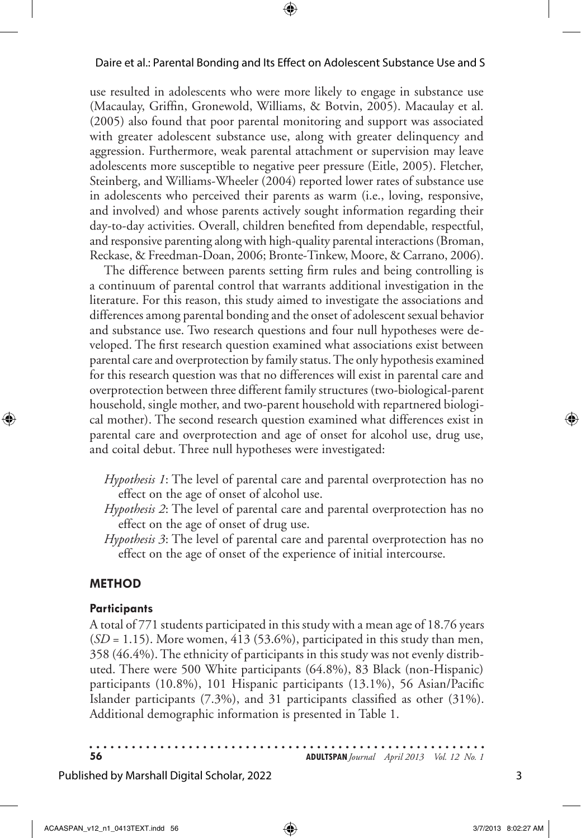use resulted in adolescents who were more likely to engage in substance use (Macaulay, Griffin, Gronewold, Williams, & Botvin, 2005). Macaulay et al. (2005) also found that poor parental monitoring and support was associated with greater adolescent substance use, along with greater delinquency and aggression. Furthermore, weak parental attachment or supervision may leave adolescents more susceptible to negative peer pressure (Eitle, 2005). Fletcher, Steinberg, and Williams-Wheeler (2004) reported lower rates of substance use in adolescents who perceived their parents as warm (i.e., loving, responsive, and involved) and whose parents actively sought information regarding their day-to-day activities. Overall, children benefited from dependable, respectful, and responsive parenting along with high-quality parental interactions (Broman, Reckase, & Freedman-Doan, 2006; Bronte-Tinkew, Moore, & Carrano, 2006).

The difference between parents setting firm rules and being controlling is a continuum of parental control that warrants additional investigation in the literature. For this reason, this study aimed to investigate the associations and differences among parental bonding and the onset of adolescent sexual behavior and substance use. Two research questions and four null hypotheses were developed. The first research question examined what associations exist between parental care and overprotection by family status. The only hypothesis examined for this research question was that no differences will exist in parental care and overprotection between three different family structures (two-biological-parent household, single mother, and two-parent household with repartnered biological mother). The second research question examined what differences exist in parental care and overprotection and age of onset for alcohol use, drug use, and coital debut. Three null hypotheses were investigated:

- *Hypothesis 1*: The level of parental care and parental overprotection has no effect on the age of onset of alcohol use.
- *Hypothesis 2*: The level of parental care and parental overprotection has no effect on the age of onset of drug use.
- *Hypothesis 3*: The level of parental care and parental overprotection has no effect on the age of onset of the experience of initial intercourse.

## **Method**

## **Participants**

A total of 771 students participated in this study with a mean age of 18.76 years (*SD* = 1.15). More women, 413 (53.6%), participated in this study than men, 358 (46.4%). The ethnicity of participants in this study was not evenly distributed. There were 500 White participants (64.8%), 83 Black (non-Hispanic) participants (10.8%), 101 Hispanic participants (13.1%), 56 Asian/Pacific Islander participants (7.3%), and 31 participants classified as other (31%). Additional demographic information is presented in Table 1.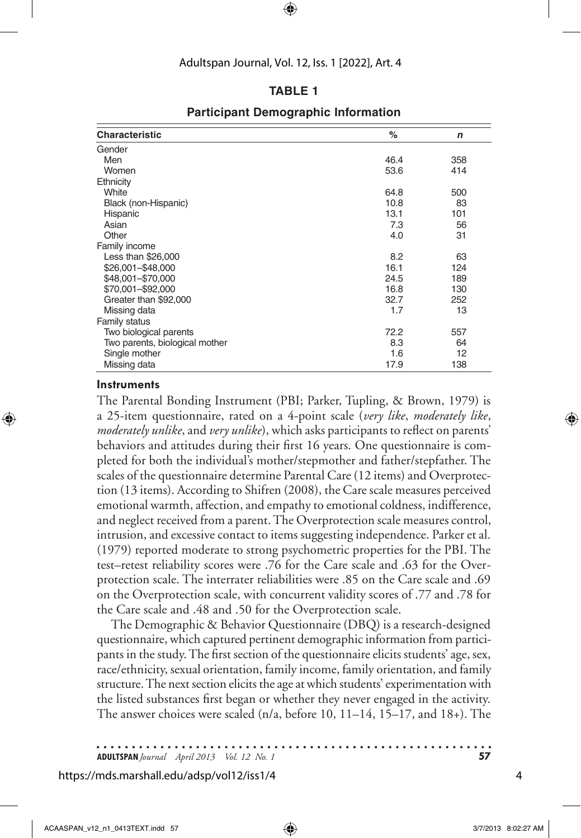## **Table 1**

| <b>Characteristic</b>          | %    | n   |
|--------------------------------|------|-----|
| Gender                         |      |     |
| Men                            | 46.4 | 358 |
| Women                          | 53.6 | 414 |
| Ethnicity                      |      |     |
| White                          | 64.8 | 500 |
| Black (non-Hispanic)           | 10.8 | 83  |
| Hispanic                       | 13.1 | 101 |
| Asian                          | 7.3  | 56  |
| Other                          | 4.0  | 31  |
| Family income                  |      |     |
| Less than \$26,000             | 8.2  | 63  |
| \$26,001-\$48,000              | 16.1 | 124 |
| \$48,001-\$70,000              | 24.5 | 189 |
| \$70,001-\$92,000              | 16.8 | 130 |
| Greater than \$92,000          | 32.7 | 252 |
| Missing data                   | 1.7  | 13  |
| Family status                  |      |     |
| Two biological parents         | 72.2 | 557 |
| Two parents, biological mother | 8.3  | 64  |
| Single mother                  | 1.6  | 12  |
| Missing data                   | 17.9 | 138 |

## **Participant Demographic Information**

### **Instruments**

The Parental Bonding Instrument (PBI; Parker, Tupling, & Brown, 1979) is a 25-item questionnaire, rated on a 4-point scale (*very like*, *moderately like*, *moderately unlike*, and *very unlike*), which asks participants to reflect on parents' behaviors and attitudes during their first 16 years. One questionnaire is completed for both the individual's mother/stepmother and father/stepfather. The scales of the questionnaire determine Parental Care (12 items) and Overprotection (13 items). According to Shifren (2008), the Care scale measures perceived emotional warmth, affection, and empathy to emotional coldness, indifference, and neglect received from a parent. The Overprotection scale measures control, intrusion, and excessive contact to items suggesting independence. Parker et al. (1979) reported moderate to strong psychometric properties for the PBI. The test–retest reliability scores were .76 for the Care scale and .63 for the Overprotection scale. The interrater reliabilities were .85 on the Care scale and .69 on the Overprotection scale, with concurrent validity scores of .77 and .78 for the Care scale and .48 and .50 for the Overprotection scale.

The Demographic & Behavior Questionnaire (DBQ) is a research-designed questionnaire, which captured pertinent demographic information from participants in the study. The first section of the questionnaire elicits students' age, sex, race/ethnicity, sexual orientation, family income, family orientation, and family structure. The next section elicits the age at which students' experimentation with the listed substances first began or whether they never engaged in the activity. The answer choices were scaled (n/a, before 10, 11–14, 15–17, and 18+). The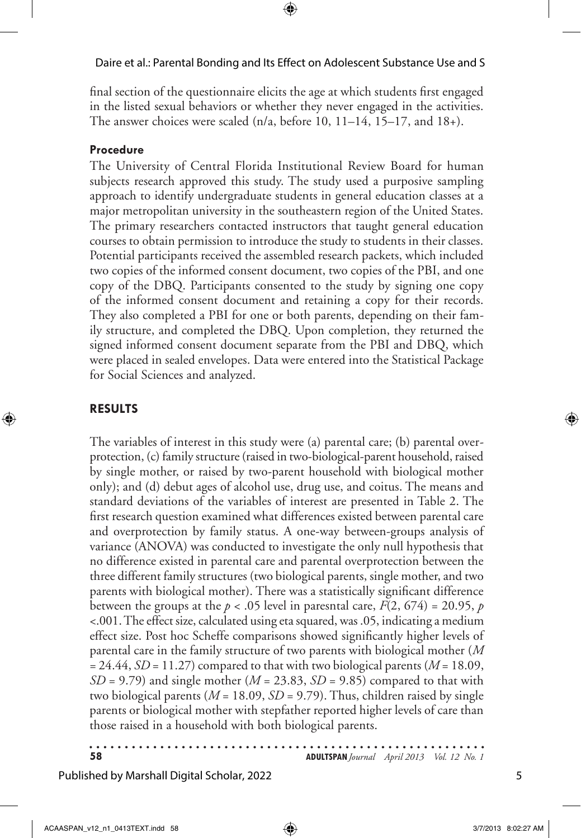final section of the questionnaire elicits the age at which students first engaged in the listed sexual behaviors or whether they never engaged in the activities. The answer choices were scaled  $(n/a, before 10, 11–14, 15–17, and 18+).$ 

## **Procedure**

The University of Central Florida Institutional Review Board for human subjects research approved this study. The study used a purposive sampling approach to identify undergraduate students in general education classes at a major metropolitan university in the southeastern region of the United States. The primary researchers contacted instructors that taught general education courses to obtain permission to introduce the study to students in their classes. Potential participants received the assembled research packets, which included two copies of the informed consent document, two copies of the PBI, and one copy of the DBQ. Participants consented to the study by signing one copy of the informed consent document and retaining a copy for their records. They also completed a PBI for one or both parents, depending on their family structure, and completed the DBQ. Upon completion, they returned the signed informed consent document separate from the PBI and DBQ, which were placed in sealed envelopes. Data were entered into the Statistical Package for Social Sciences and analyzed.

## **Results**

The variables of interest in this study were (a) parental care; (b) parental overprotection, (c) family structure (raised in two-biological-parent household, raised by single mother, or raised by two-parent household with biological mother only); and (d) debut ages of alcohol use, drug use, and coitus. The means and standard deviations of the variables of interest are presented in Table 2. The first research question examined what differences existed between parental care and overprotection by family status. A one-way between-groups analysis of variance (ANOVA) was conducted to investigate the only null hypothesis that no difference existed in parental care and parental overprotection between the three different family structures (two biological parents, single mother, and two parents with biological mother). There was a statistically significant difference between the groups at the  $p < .05$  level in paresntal care,  $F(2, 674) = 20.95$ ,  $p$ <.001. The effect size, calculated using eta squared, was .05, indicating a medium effect size. Post hoc Scheffe comparisons showed significantly higher levels of parental care in the family structure of two parents with biological mother (*M* = 24.44, *SD* = 11.27) compared to that with two biological parents (*M* = 18.09, *SD* = 9.79) and single mother (*M* = 23.83, *SD* = 9.85) compared to that with two biological parents ( $M = 18.09$ ,  $SD = 9.79$ ). Thus, children raised by single parents or biological mother with stepfather reported higher levels of care than those raised in a household with both biological parents.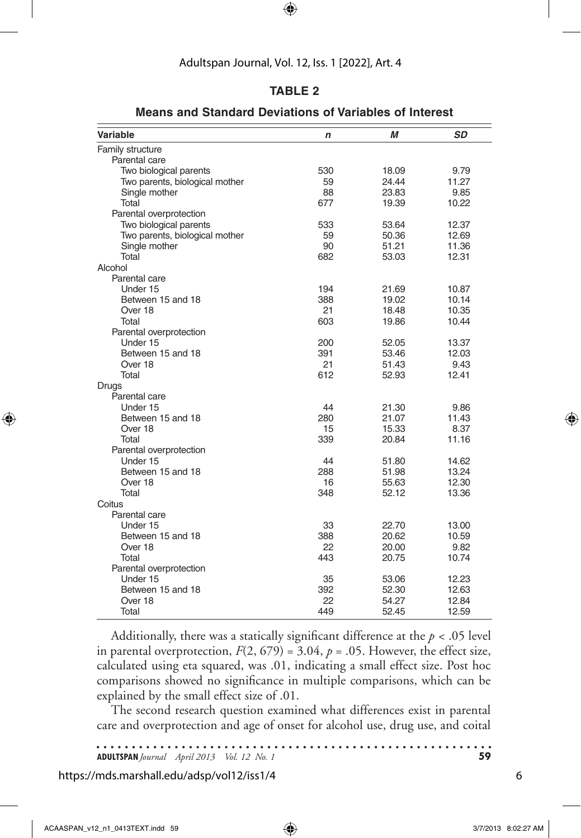## **Table 2**

| Variable                       | $\mathbf n$ | М     | SD    |
|--------------------------------|-------------|-------|-------|
| Family structure               |             |       |       |
| Parental care                  |             |       |       |
| Two biological parents         | 530         | 18.09 | 9.79  |
| Two parents, biological mother | 59          | 24.44 | 11.27 |
| Single mother                  | 88          | 23.83 | 9.85  |
| Total                          | 677         | 19.39 | 10.22 |
| Parental overprotection        |             |       |       |
| Two biological parents         | 533         | 53.64 | 12.37 |
| Two parents, biological mother | 59          | 50.36 | 12.69 |
| Single mother                  | 90          | 51.21 | 11.36 |
| Total                          | 682         | 53.03 | 12.31 |
| Alcohol                        |             |       |       |
| Parental care                  |             |       |       |
| Under 15                       | 194         | 21.69 | 10.87 |
| Between 15 and 18              | 388         | 19.02 | 10.14 |
| Over 18                        | 21          | 18.48 | 10.35 |
| Total                          | 603         | 19.86 | 10.44 |
| Parental overprotection        |             |       |       |
| Under 15                       | 200         | 52.05 | 13.37 |
| Between 15 and 18              | 391         | 53.46 | 12.03 |
| Over 18                        | 21          | 51.43 | 9.43  |
| Total                          | 612         | 52.93 | 12.41 |
| Drugs                          |             |       |       |
| Parental care                  |             |       |       |
| Under 15                       | 44          | 21.30 | 9.86  |
| Between 15 and 18              | 280         | 21.07 | 11.43 |
| Over 18                        | 15          | 15.33 | 8.37  |
| Total                          | 339         | 20.84 | 11.16 |
| Parental overprotection        |             |       |       |
| Under 15                       | 44          | 51.80 | 14.62 |
| Between 15 and 18              | 288         | 51.98 | 13.24 |
| Over 18                        | 16          | 55.63 | 12.30 |
| Total                          | 348         | 52.12 | 13.36 |
| Coitus                         |             |       |       |
| Parental care                  |             |       |       |
| Under 15                       | 33          | 22.70 | 13.00 |
| Between 15 and 18              | 388         | 20.62 | 10.59 |
| Over 18                        | 22          | 20.00 | 9.82  |
| Total                          | 443         | 20.75 | 10.74 |
| Parental overprotection        |             |       |       |
| Under 15                       | 35          | 53.06 | 12.23 |
| Between 15 and 18              | 392         | 52.30 | 12.63 |
| Over 18                        | 22          | 54.27 | 12.84 |
| Total                          | 449         | 52.45 | 12.59 |

**Means and Standard Deviations of Variables of Interest**

Additionally, there was a statically significant difference at the *p* < .05 level in parental overprotection,  $F(2, 679) = 3.04$ ,  $p = .05$ . However, the effect size, calculated using eta squared, was .01, indicating a small effect size. Post hoc comparisons showed no significance in multiple comparisons, which can be explained by the small effect size of .01.

The second research question examined what differences exist in parental care and overprotection and age of onset for alcohol use, drug use, and coital

https://mds.marshall.edu/adsp/vol12/iss1/4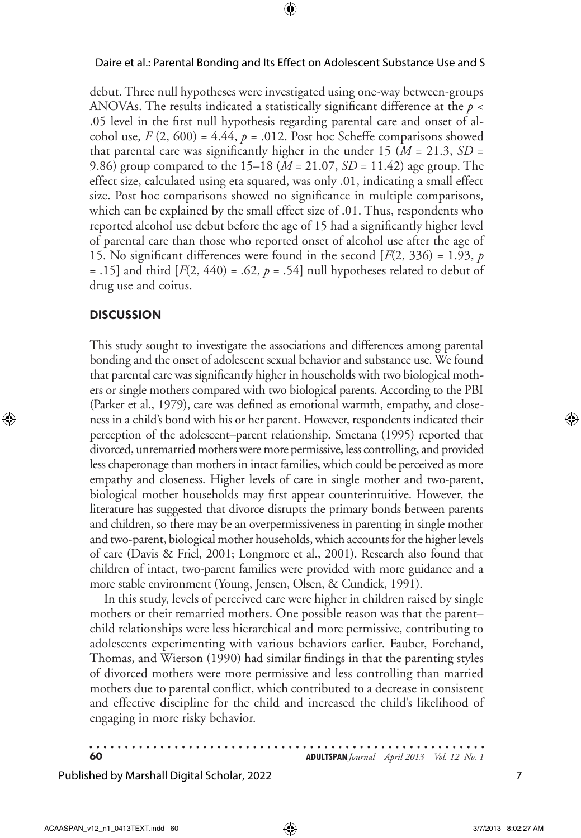debut. Three null hypotheses were investigated using one-way between-groups ANOVAs. The results indicated a statistically significant difference at the *p* < .05 level in the first null hypothesis regarding parental care and onset of alcohol use,  $F(2, 600) = 4.44$ ,  $p = .012$ . Post hoc Scheffe comparisons showed that parental care was significantly higher in the under 15 ( $M = 21.3$ ,  $SD =$ 9.86) group compared to the 15–18 (*M* = 21.07, *SD* = 11.42) age group. The effect size, calculated using eta squared, was only .01, indicating a small effect size. Post hoc comparisons showed no significance in multiple comparisons, which can be explained by the small effect size of .01. Thus, respondents who reported alcohol use debut before the age of 15 had a significantly higher level of parental care than those who reported onset of alcohol use after the age of 15. No significant differences were found in the second  $[F(2, 336) = 1.93, p$ = .15] and third  $[F(2, 440) = .62, p = .54]$  null hypotheses related to debut of drug use and coitus.

## **Discussion**

This study sought to investigate the associations and differences among parental bonding and the onset of adolescent sexual behavior and substance use. We found that parental care was significantly higher in households with two biological mothers or single mothers compared with two biological parents. According to the PBI (Parker et al., 1979), care was defined as emotional warmth, empathy, and closeness in a child's bond with his or her parent. However, respondents indicated their perception of the adolescent–parent relationship. Smetana (1995) reported that divorced, unremarried mothers were more permissive, less controlling, and provided less chaperonage than mothers in intact families, which could be perceived as more empathy and closeness. Higher levels of care in single mother and two-parent, biological mother households may first appear counterintuitive. However, the literature has suggested that divorce disrupts the primary bonds between parents and children, so there may be an overpermissiveness in parenting in single mother and two-parent, biological mother households, which accounts for the higher levels of care (Davis & Friel, 2001; Longmore et al., 2001). Research also found that children of intact, two-parent families were provided with more guidance and a more stable environment (Young, Jensen, Olsen, & Cundick, 1991).

In this study, levels of perceived care were higher in children raised by single mothers or their remarried mothers. One possible reason was that the parent– child relationships were less hierarchical and more permissive, contributing to adolescents experimenting with various behaviors earlier. Fauber, Forehand, Thomas, and Wierson (1990) had similar findings in that the parenting styles of divorced mothers were more permissive and less controlling than married mothers due to parental conflict, which contributed to a decrease in consistent and effective discipline for the child and increased the child's likelihood of engaging in more risky behavior.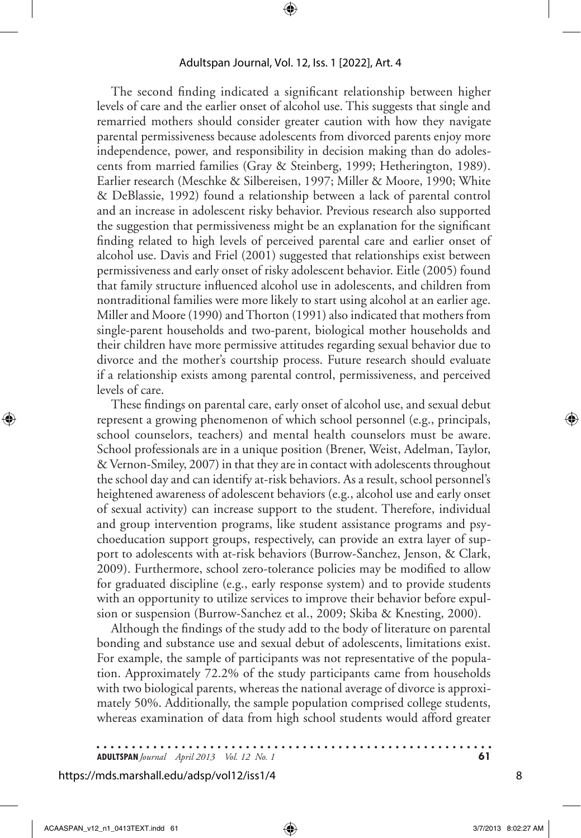The second finding indicated a significant relationship between higher levels of care and the earlier onset of alcohol use. This suggests that single and remarried mothers should consider greater caution with how they navigate parental permissiveness because adolescents from divorced parents enjoy more independence, power, and responsibility in decision making than do adolescents from married families (Gray & Steinberg, 1999; Hetherington, 1989). Earlier research (Meschke & Silbereisen, 1997; Miller & Moore, 1990; White & DeBlassie, 1992) found a relationship between a lack of parental control and an increase in adolescent risky behavior. Previous research also supported the suggestion that permissiveness might be an explanation for the significant finding related to high levels of perceived parental care and earlier onset of alcohol use. Davis and Friel (2001) suggested that relationships exist between permissiveness and early onset of risky adolescent behavior. Eitle (2005) found that family structure influenced alcohol use in adolescents, and children from nontraditional families were more likely to start using alcohol at an earlier age. Miller and Moore (1990) and Thorton (1991) also indicated that mothers from single-parent households and two-parent, biological mother households and their children have more permissive attitudes regarding sexual behavior due to divorce and the mother's courtship process. Future research should evaluate if a relationship exists among parental control, permissiveness, and perceived levels of care.

These findings on parental care, early onset of alcohol use, and sexual debut represent a growing phenomenon of which school personnel (e.g., principals, school counselors, teachers) and mental health counselors must be aware. School professionals are in a unique position (Brener, Weist, Adelman, Taylor, & Vernon-Smiley, 2007) in that they are in contact with adolescents throughout the school day and can identify at-risk behaviors. As a result, school personnel's heightened awareness of adolescent behaviors (e.g., alcohol use and early onset of sexual activity) can increase support to the student. Therefore, individual and group intervention programs, like student assistance programs and psychoeducation support groups, respectively, can provide an extra layer of support to adolescents with at-risk behaviors (Burrow-Sanchez, Jenson, & Clark, 2009). Furthermore, school zero-tolerance policies may be modified to allow for graduated discipline (e.g., early response system) and to provide students with an opportunity to utilize services to improve their behavior before expulsion or suspension (Burrow-Sanchez et al., 2009; Skiba & Knesting, 2000).

Although the findings of the study add to the body of literature on parental bonding and substance use and sexual debut of adolescents, limitations exist. For example, the sample of participants was not representative of the population. Approximately 72.2% of the study participants came from households with two biological parents, whereas the national average of divorce is approximately 50%. Additionally, the sample population comprised college students, whereas examination of data from high school students would afford greater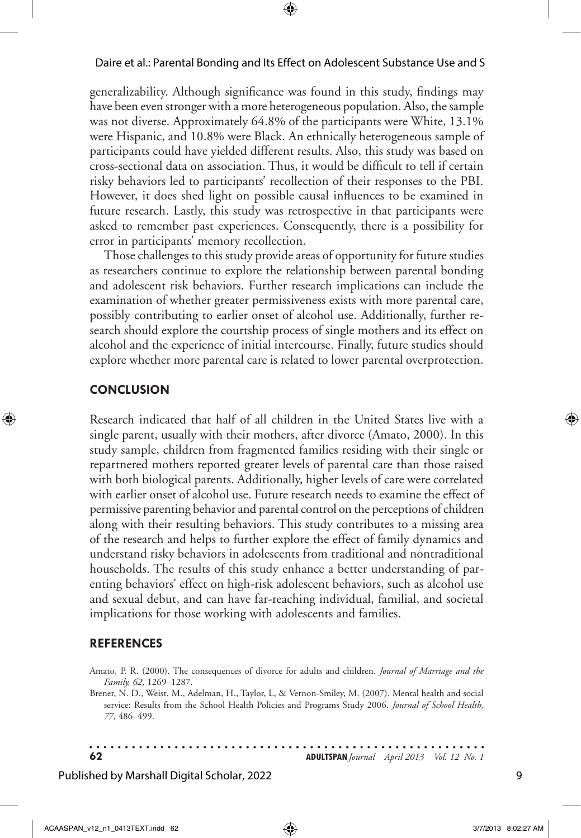generalizability. Although significance was found in this study, findings may have been even stronger with a more heterogeneous population. Also, the sample was not diverse. Approximately 64.8% of the participants were White, 13.1% were Hispanic, and 10.8% were Black. An ethnically heterogeneous sample of participants could have yielded different results. Also, this study was based on cross-sectional data on association. Thus, it would be difficult to tell if certain risky behaviors led to participants' recollection of their responses to the PBI. However, it does shed light on possible causal influences to be examined in future research. Lastly, this study was retrospective in that participants were asked to remember past experiences. Consequently, there is a possibility for error in participants' memory recollection.

Those challenges to this study provide areas of opportunity for future studies as researchers continue to explore the relationship between parental bonding and adolescent risk behaviors. Further research implications can include the examination of whether greater permissiveness exists with more parental care, possibly contributing to earlier onset of alcohol use. Additionally, further research should explore the courtship process of single mothers and its effect on alcohol and the experience of initial intercourse. Finally, future studies should explore whether more parental care is related to lower parental overprotection.

#### **Conclusion**

Research indicated that half of all children in the United States live with a single parent, usually with their mothers, after divorce (Amato, 2000). In this study sample, children from fragmented families residing with their single or repartnered mothers reported greater levels of parental care than those raised with both biological parents. Additionally, higher levels of care were correlated with earlier onset of alcohol use. Future research needs to examine the effect of permissive parenting behavior and parental control on the perceptions of children along with their resulting behaviors. This study contributes to a missing area of the research and helps to further explore the effect of family dynamics and understand risky behaviors in adolescents from traditional and nontraditional households. The results of this study enhance a better understanding of parenting behaviors' effect on high-risk adolescent behaviors, such as alcohol use and sexual debut, and can have far-reaching individual, familial, and societal implications for those working with adolescents and families.

#### **References**

Amato, P. R. (2000). The consequences of divorce for adults and children. *Journal of Marriage and the Family, 62,* 1269–1287.

Brener, N. D., Weist, M., Adelman, H., Taylor, L, & Vernon-Smiley, M. (2007). Mental health and social service: Results from the School Health Policies and Programs Study 2006. *Journal of School Health, 77,* 486–499.

. . . . . . . . . . . . **62 ADULTSPAN***Journal April 2013 Vol. 12 No. 1*

#### Published by Marshall Digital Scholar, 2022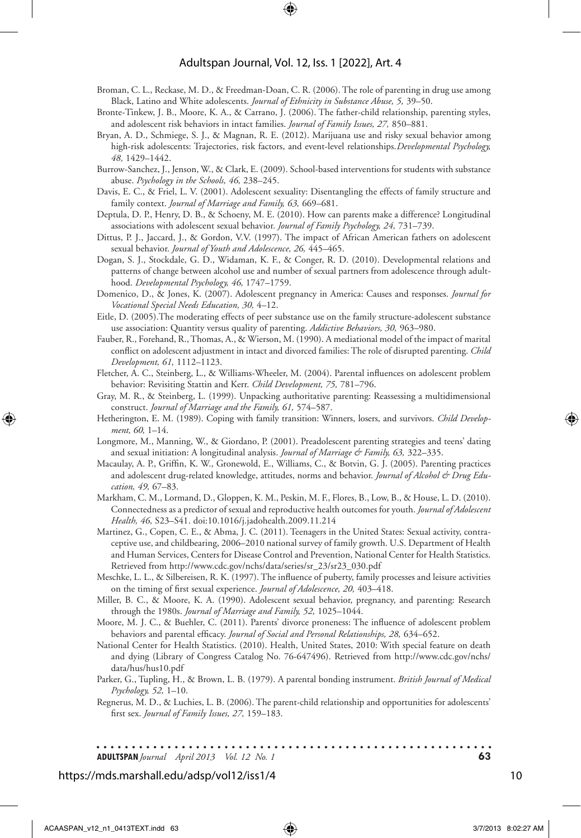#### Adultspan Journal, Vol. 12, Iss. 1 [2022], Art. 4

- Broman, C. L., Reckase, M. D., & Freedman-Doan, C. R. (2006). The role of parenting in drug use among Black, Latino and White adolescents. *Journal of Ethnicity in Substance Abuse, 5,* 39–50.
- Bronte-Tinkew, J. B., Moore, K. A., & Carrano, J. (2006). The father-child relationship, parenting styles, and adolescent risk behaviors in intact families. *Journal of Family Issues, 27,* 850–881.
- Bryan, A. D., Schmiege, S. J., & Magnan, R. E. (2012). Marijuana use and risky sexual behavior among high-risk adolescents: Trajectories, risk factors, and event-level relationships.*Developmental Psychology, 48,* 1429–1442.
- Burrow-Sanchez, J., Jenson, W., & Clark, E. (2009). School-based interventions for students with substance abuse. *Psychology in the Schools, 46,* 238–245.
- Davis, E. C., & Friel, L. V. (2001). Adolescent sexuality: Disentangling the effects of family structure and family context. *Journal of Marriage and Family, 63,* 669–681.
- Deptula, D. P., Henry, D. B., & Schoeny, M. E. (2010). How can parents make a difference? Longitudinal associations with adolescent sexual behavior. *Journal of Family Psychology, 24,* 731–739.
- Dittus, P. J., Jaccard, J., & Gordon, V.V. (1997). The impact of African American fathers on adolescent sexual behavior. *Journal of Youth and Adolescence, 26,* 445–465.
- Dogan, S. J., Stockdale, G. D., Widaman, K. F., & Conger, R. D. (2010). Developmental relations and patterns of change between alcohol use and number of sexual partners from adolescence through adulthood. *Developmental Psychology, 46,* 1747–1759.
- Domenico, D., & Jones, K. (2007). Adolescent pregnancy in America: Causes and responses. *Journal for Vocational Special Needs Education, 30,* 4–12.
- Eitle, D. (2005).The moderating effects of peer substance use on the family structure-adolescent substance use association: Quantity versus quality of parenting. *Addictive Behaviors, 30,* 963–980.
- Fauber, R., Forehand, R., Thomas, A., & Wierson, M. (1990). A mediational model of the impact of marital conflict on adolescent adjustment in intact and divorced families: The role of disrupted parenting. *Child Development, 61,* 1112–1123.
- Fletcher, A. C., Steinberg, L., & Williams-Wheeler, M. (2004). Parental influences on adolescent problem behavior: Revisiting Stattin and Kerr. *Child Development, 75,* 781–796.
- Gray, M. R., & Steinberg, L. (1999). Unpacking authoritative parenting: Reassessing a multidimensional construct. *Journal of Marriage and the Family, 61,* 574–587.
- Hetherington, E. M. (1989). Coping with family transition: Winners, losers, and survivors. *Child Development, 60,* 1–14.
- Longmore, M., Manning, W., & Giordano, P. (2001). Preadolescent parenting strategies and teens' dating and sexual initiation: A longitudinal analysis. *Journal of Marriage & Family, 63,* 322–335.
- Macaulay, A. P., Griffin, K. W., Gronewold, E., Williams, C., & Botvin, G. J. (2005). Parenting practices and adolescent drug-related knowledge, attitudes, norms and behavior. *Journal of Alcohol & Drug Education, 49,* 67–83.
- Markham, C. M., Lormand, D., Gloppen, K. M., Peskin, M. F., Flores, B., Low, B., & House, L. D. (2010). Connectedness as a predictor of sexual and reproductive health outcomes for youth. *Journal of Adolescent Health, 46,* S23–S41. doi:10.1016/j.jadohealth.2009.11.214
- Martinez, G., Copen, C. E., & Abma, J. C. (2011). Teenagers in the United States: Sexual activity, contraceptive use, and childbearing, 2006–2010 national survey of family growth. U.S. Department of Health and Human Services, Centers for Disease Control and Prevention, National Center for Health Statistics. Retrieved from http://www.cdc.gov/nchs/data/series/sr\_23/sr23\_030.pdf
- Meschke, L. L., & Silbereisen, R. K. (1997). The influence of puberty, family processes and leisure activities on the timing of first sexual experience. *Journal of Adolescence, 20,* 403–418.
- Miller, B. C., & Moore, K. A. (1990). Adolescent sexual behavior, pregnancy, and parenting: Research through the 1980s. *Journal of Marriage and Family, 52,* 1025–1044.
- Moore, M. J. C., & Buehler, C. (2011). Parents' divorce proneness: The influence of adolescent problem behaviors and parental efficacy. *Journal of Social and Personal Relationships, 28,* 634–652.
- National Center for Health Statistics. (2010). Health, United States, 2010: With special feature on death and dying (Library of Congress Catalog No. 76-647496). Retrieved from http://www.cdc.gov/nchs/ data/hus/hus10.pdf
- Parker, G., Tupling, H., & Brown, L. B. (1979). A parental bonding instrument. *British Journal of Medical Psychology, 52,* 1–10.
- Regnerus, M. D., & Luchies, L. B. (2006). The parent-child relationship and opportunities for adolescents' first sex. *Journal of Family Issues, 27,* 159–183.

**ADULTSPAN***Journal April 2013 Vol. 12 No. 1* **63**

### https://mds.marshall.edu/adsp/vol12/iss1/4